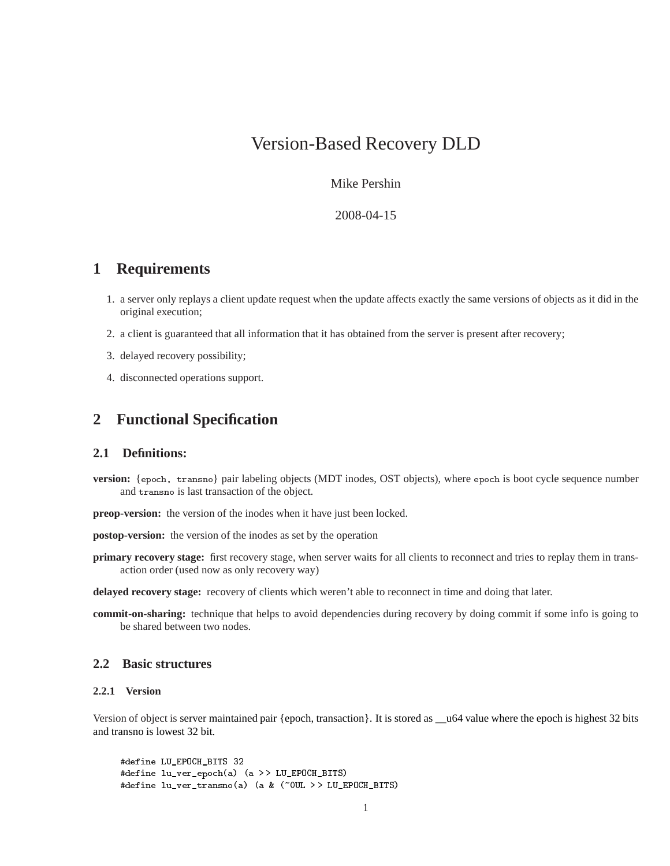# Version-Based Recovery DLD

Mike Pershin

2008-04-15

# **1 Requirements**

- 1. a server only replays a client update request when the update affects exactly the same versions of objects as it did in the original execution;
- 2. a client is guaranteed that all information that it has obtained from the server is present after recovery;
- 3. delayed recovery possibility;
- 4. disconnected operations support.

# **2 Functional Specification**

## **2.1 Definitions:**

- **version:** {epoch, transno} pair labeling objects (MDT inodes, OST objects), where epoch is boot cycle sequence number and transno is last transaction of the object.
- **preop-version:** the version of the inodes when it have just been locked.

**postop-version:** the version of the inodes as set by the operation

**primary recovery stage:** first recovery stage, when server waits for all clients to reconnect and tries to replay them in transaction order (used now as only recovery way)

**delayed recovery stage:** recovery of clients which weren't able to reconnect in time and doing that later.

**commit-on-sharing:** technique that helps to avoid dependencies during recovery by doing commit if some info is going to be shared between two nodes.

# **2.2 Basic structures**

# **2.2.1 Version**

Version of object is server maintained pair {epoch, transaction}. It is stored as \_\_u64 value where the epoch is highest 32 bits and transno is lowest 32 bit.

```
#define LU_EPOCH_BITS 32
#define lu_ver_epoch(a) (a > > LU_EPOCH_BITS)
#define lu_ver_transno(a) (a & (~0UL > > LU_EPOCH_BITS)
```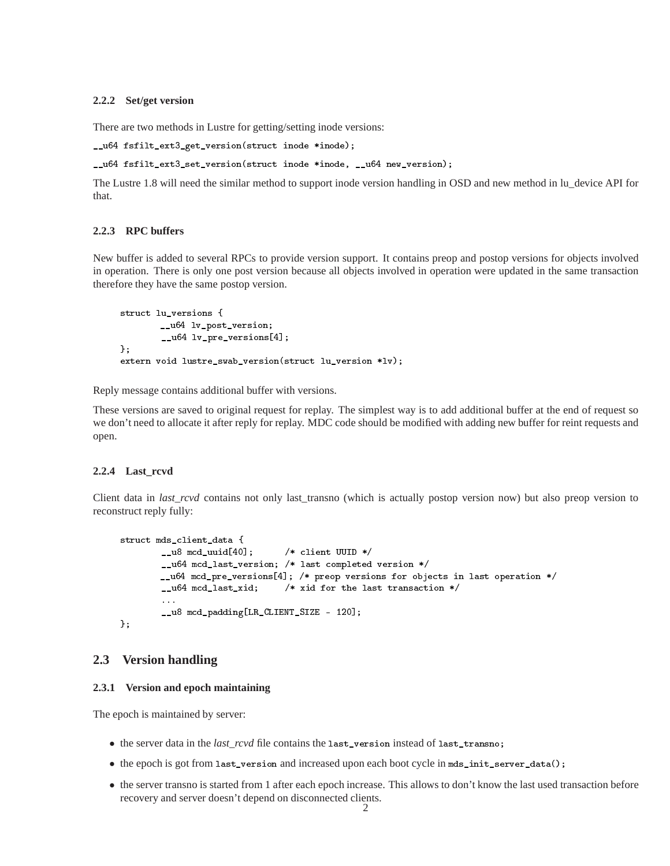#### **2.2.2 Set/get version**

There are two methods in Lustre for getting/setting inode versions:

\_\_u64 fsfilt\_ext3\_get\_version(struct inode \*inode);

```
__u64 fsfilt_ext3_set_version(struct inode *inode, __u64 new_version);
```
The Lustre 1.8 will need the similar method to support inode version handling in OSD and new method in lu\_device API for that.

#### **2.2.3 RPC buffers**

New buffer is added to several RPCs to provide version support. It contains preop and postop versions for objects involved in operation. There is only one post version because all objects involved in operation were updated in the same transaction therefore they have the same postop version.

```
struct lu_versions {
       __u64 lv_post_version;
        __u64 lv_pre_versions[4];
};
extern void lustre_swab_version(struct lu_version *lv);
```
Reply message contains additional buffer with versions.

These versions are saved to original request for replay. The simplest way is to add additional buffer at the end of request so we don't need to allocate it after reply for replay. MDC code should be modified with adding new buffer for reint requests and open.

#### **2.2.4 Last\_rcvd**

Client data in *last\_rcvd* contains not only last\_transno (which is actually postop version now) but also preop version to reconstruct reply fully:

```
struct mds_client_data {
       __u8 mcd_uuid[40]; /* client UUID */
       __u64 mcd_last_version; /* last completed version */
       __u64 mcd_pre_versions[4]; /* preop versions for objects in last operation */
       __u64 mcd_last_xid; /* xid for the last transaction */
       __u8 mcd_padding[LR_CLIENT_SIZE - 120];
};
```
### **2.3 Version handling**

#### **2.3.1 Version and epoch maintaining**

The epoch is maintained by server:

- the server data in the *last\_rcvd* file contains the last\_version instead of last\_transno;
- the epoch is got from last\_version and increased upon each boot cycle in mds\_init\_server\_data();
- the server transno is started from 1 after each epoch increase. This allows to don't know the last used transaction before recovery and server doesn't depend on disconnected clients.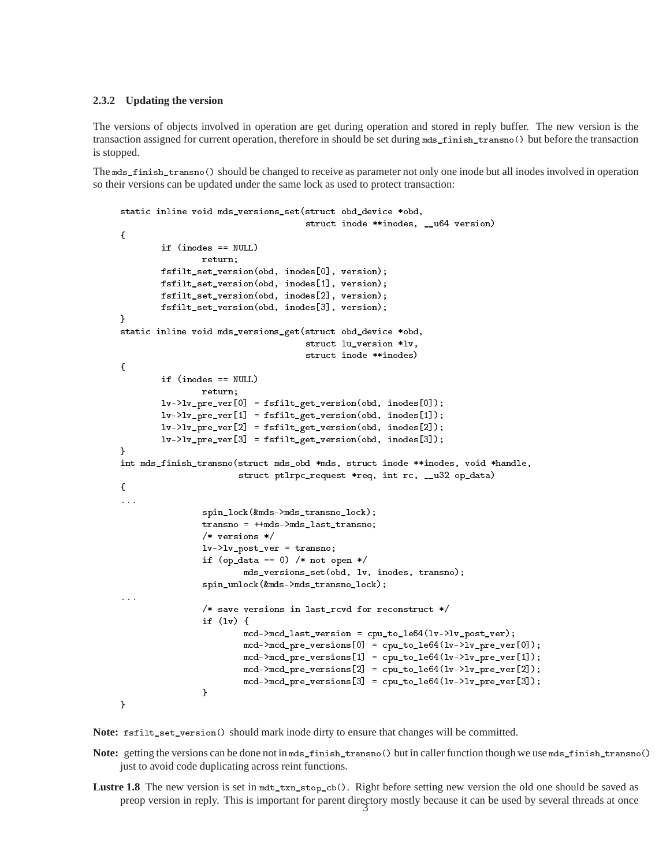#### **2.3.2 Updating the version**

The versions of objects involved in operation are get during operation and stored in reply buffer. The new version is the transaction assigned for current operation, therefore in should be set during mds\_finish\_transno() but before the transaction is stopped.

The mds\_finish\_transno() should be changed to receive as parameter not only one inode but all inodes involved in operation so their versions can be updated under the same lock as used to protect transaction:

```
static inline void mds_versions_set(struct obd_device *obd,
                                       struct inode **inodes, __u64 version)
{
        if (inodes == NULL)
                 return:
                 return;
        fsfilt_set_version(obd, inodes[0], version);
        fsfilt_set_version(obd, inodes[1], version);
        fsfilt_set_version(obd, inodes[2], version);
        fsfilt_set_version(obd, inodes[3], version);
}
static inline void mds_versions_get(struct obd_device *obd,
                                       struct lu_version *lv,
                                       struct inode **inodes)
{
        if (inodes == NULL)
                 return;
        lv->lv_pre_ver[0] = fsfilt_get_version(obd, inodes[0]);
        lv->lv_pre_ver[1] = fsfilt_get_version(obd, inodes[1]);
        lv->lv_pre_ver[2] = fsfilt_get_version(obd, inodes[2]);
        lv->lv_pre_ver[3] = fsfilt_get_version(obd, inodes[3]);
ł
. .
int mds_finish_transno(struct mds_obd *mds, struct inode **inodes, void *handle,
                         struct ptlrpc_request *req, int rc, __u32 op_data)
{
...
                 spin_lock(&mds->mds_transno_lock);
                 transno = ++mds->mds_last_transno;
                 /* versions */
                 lv-lv\_post\_ver = transno;if (op_data == 0) /* not open */mds_versions_set(obd, lv, inodes, transno);
                 spin_unlock(&mds->mds_transno_lock);
...
                 /* save versions in last_rcvd for reconstruct */
                 if (lv) {
                          \texttt{mcd-})\texttt{mcd-}last_version = cpu_to_le64(lv->lv_post_ver);
                          \text{mcd}->\text{mcd}-\text{pre} versions[0] = cpu_to_le64(lv->lv_pre_ver[0]);
                          \text{mcd}->\text{mcd}-\text{pre} versions[1] = cpu_to_le64(lv->lv_pre_ver[1]);
                          \text{mcd}->\text{mcd}-\text{pre} versions[2] = cpu_to_le64(lv->lv_pre_ver[2]);
                          \text{mcd}->\text{mcd}-\text{pre} versions[3] = cpu_to_le64(lv->lv_pre_ver[3]);
                 }
}
```
**Note:** fsfilt\_set\_version() should mark inode dirty to ensure that changes will be committed.

**Note:** getting the versions can be done not in mds\_finish\_transno() but in caller function though we use mds\_finish\_transno() just to avoid code duplicating across reint functions.

Lustre 1.8 The new version is set in mdt\_txn\_stop\_cb(). Right before setting new version the old one should be saved as preop version in reply. This is important for parent directory mostly because it can be used by several threads at once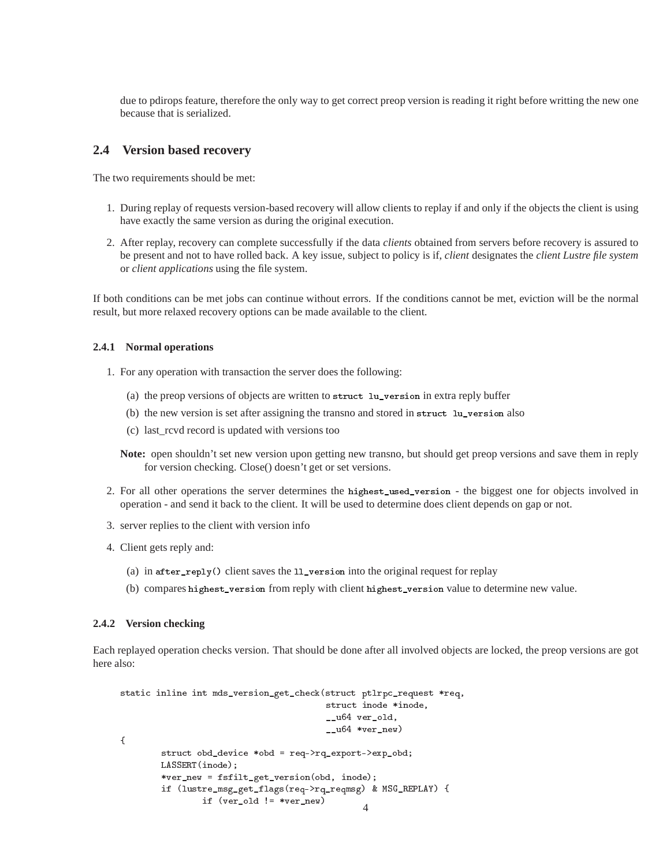due to pdirops feature, therefore the only way to get correct preop version is reading it right before writting the new one because that is serialized.

## **2.4 Version based recovery**

The two requirements should be met:

- 1. During replay of requests version-based recovery will allow clients to replay if and only if the objects the client is using have exactly the same version as during the original execution.
- 2. After replay, recovery can complete successfully if the data *clients* obtained from servers before recovery is assured to be present and not to have rolled back. A key issue, subject to policy is if, *client* designates the *client Lustre file system* or *client applications* using the file system.

If both conditions can be met jobs can continue without errors. If the conditions cannot be met, eviction will be the normal result, but more relaxed recovery options can be made available to the client.

#### **2.4.1 Normal operations**

- 1. For any operation with transaction the server does the following:
	- (a) the preop versions of objects are written to struct lu\_version in extra reply buffer
	- (b) the new version is set after assigning the transno and stored in struct lu\_version also
	- (c) last\_rcvd record is updated with versions too

**Note:** open shouldn't set new version upon getting new transno, but should get preop versions and save them in reply for version checking. Close() doesn't get or set versions.

- 2. For all other operations the server determines the highest\_used\_version the biggest one for objects involved in operation - and send it back to the client. It will be used to determine does client depends on gap or not.
- 3. server replies to the client with version info
- 4. Client gets reply and:
	- (a) in after\_reply() client saves the ll\_version into the original request for replay
	- (b) compares highest\_version from reply with client highest\_version value to determine new value.

#### **2.4.2 Version checking**

Each replayed operation checks version. That should be done after all involved objects are locked, the preop versions are got here also:

```
static inline int mds_version_get_check(struct ptlrpc_request *req,
                                       struct inode *inode,
                                       __u64 ver_old,
                                       __u64 *ver_new)
{
       struct obd_device *obd = req->rq_export->exp_obd;
       LASSERT(inode);
       *ver_new = fsfilt_get_version(obd, inode);
       if (lustre_msg_get_flags(req->rq_reqmsg) & MSG_REPLAY) {
               if ver\_old := *ver\_new)
```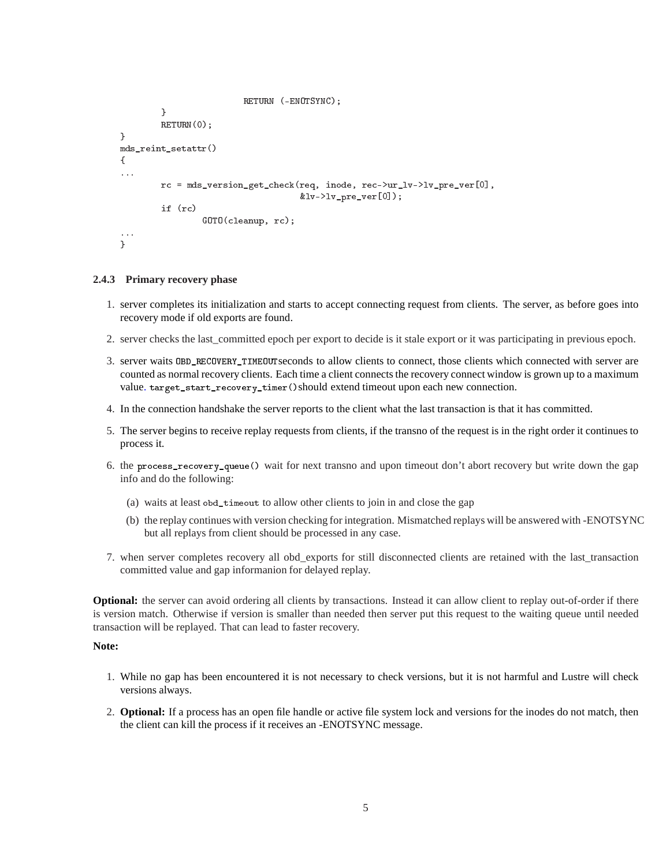```
RETURN (-ENOTSYNC);
        \mathcal{L}}
        RETURN(0);
}
mds_reint_setattr()
{
...
        rc = mds_version_get_check(req, inode, rec->ur_lv->lv_pre_ver[0],
                                       &lv->lv\_pre\_ver[0]);
        if (rc)if (rc)
                 GOTO(cleanup, rc);
...
}
```
#### **2.4.3 Primary recovery phase**

- 1. server completes its initialization and starts to accept connecting request from clients. The server, as before goes into recovery mode if old exports are found.
- 2. server checks the last\_committed epoch per export to decide is it stale export or it was participating in previous epoch.
- 3. server waits OBD\_RECOVERY\_TIMEOUTseconds to allow clients to connect, those clients which connected with server are counted as normal recovery clients. Each time a client connects the recovery connect window is grown up to a maximum value. target\_start\_recovery\_timer()should extend timeout upon each new connection.
- 4. In the connection handshake the server reports to the client what the last transaction is that it has committed.
- 5. The server begins to receive replay requests from clients, if the transno of the request is in the right order it continues to process it.
- 6. the process\_recovery\_queue() wait for next transno and upon timeout don't abort recovery but write down the gap info and do the following:
	- (a) waits at least obd\_timeout to allow other clients to join in and close the gap
	- (b) the replay continues with version checking for integration. Mismatched replays will be answered with -ENOTSYNC but all replays from client should be processed in any case.
- 7. when server completes recovery all obd\_exports for still disconnected clients are retained with the last\_transaction committed value and gap informanion for delayed replay.

**Optional:** the server can avoid ordering all clients by transactions. Instead it can allow client to replay out-of-order if there is version match. Otherwise if version is smaller than needed then server put this request to the waiting queue until needed transaction will be replayed. That can lead to faster recovery.

#### **Note:**

- 1. While no gap has been encountered it is not necessary to check versions, but it is not harmful and Lustre will check versions always.
- 2. **Optional:** If a process has an open file handle or active file system lock and versions for the inodes do not match, then the client can kill the process if it receives an -ENOTSYNC message.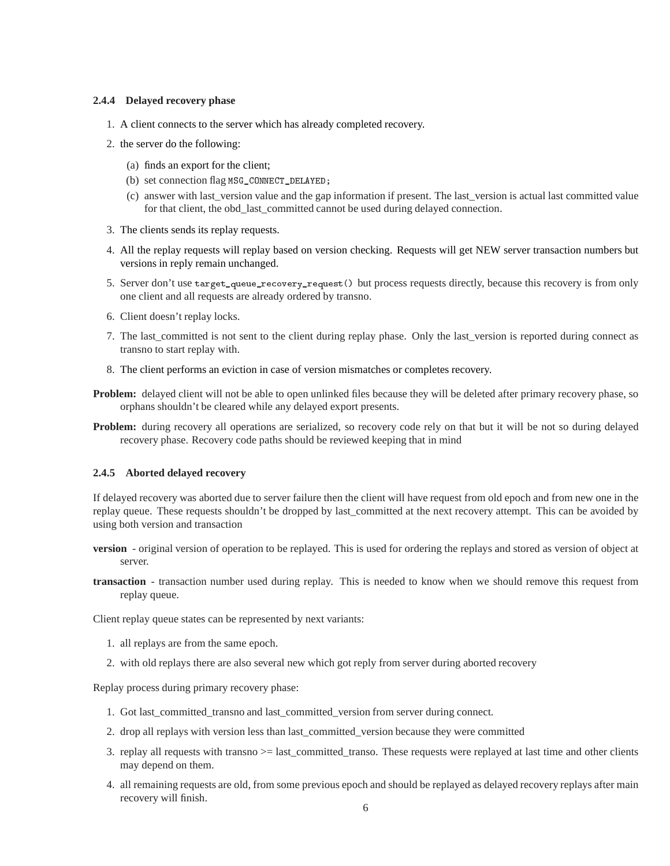#### **2.4.4 Delayed recovery phase**

- 1. A client connects to the server which has already completed recovery.
- 2. the server do the following:
	- (a) finds an export for the client;
	- (b) set connection flag MSG\_CONNECT\_DELAYED;
	- (c) answer with last\_version value and the gap information if present. The last\_version is actual last committed value for that client, the obd\_last\_committed cannot be used during delayed connection.
- 3. The clients sends its replay requests.
- 4. All the replay requests will replay based on version checking. Requests will get NEW server transaction numbers but versions in reply remain unchanged.
- 5. Server don't use target\_queue\_recovery\_request() but process requests directly, because this recovery is from only one client and all requests are already ordered by transno.
- 6. Client doesn't replay locks.
- 7. The last\_committed is not sent to the client during replay phase. Only the last\_version is reported during connect as transno to start replay with.
- 8. The client performs an eviction in case of version mismatches or completes recovery.
- **Problem:** delayed client will not be able to open unlinked files because they will be deleted after primary recovery phase, so orphans shouldn't be cleared while any delayed export presents.
- **Problem:** during recovery all operations are serialized, so recovery code rely on that but it will be not so during delayed recovery phase. Recovery code paths should be reviewed keeping that in mind

#### **2.4.5 Aborted delayed recovery**

If delayed recovery was aborted due to server failure then the client will have request from old epoch and from new one in the replay queue. These requests shouldn't be dropped by last\_committed at the next recovery attempt. This can be avoided by using both version and transaction

- **version** original version of operation to be replayed. This is used for ordering the replays and stored as version of object at server.
- **transaction** transaction number used during replay. This is needed to know when we should remove this request from replay queue.

Client replay queue states can be represented by next variants:

- 1. all replays are from the same epoch.
- 2. with old replays there are also several new which got reply from server during aborted recovery

Replay process during primary recovery phase:

- 1. Got last\_committed\_transno and last\_committed\_version from server during connect.
- 2. drop all replays with version less than last\_committed\_version because they were committed
- 3. replay all requests with transno >= last\_committed\_transo. These requests were replayed at last time and other clients may depend on them.
- 4. all remaining requests are old, from some previous epoch and should be replayed as delayed recovery replays after main recovery will finish.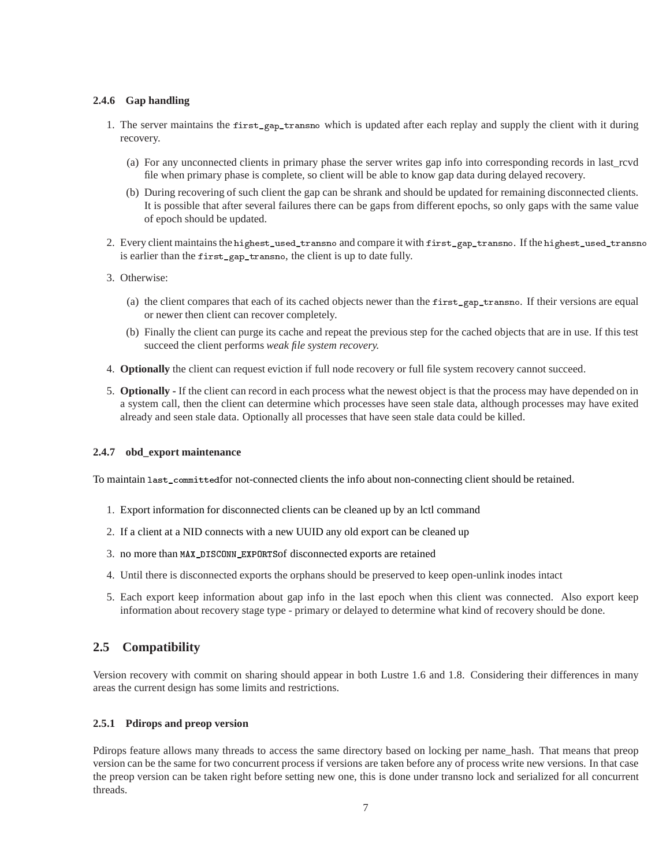## **2.4.6 Gap handling**

- 1. The server maintains the first\_gap\_transno which is updated after each replay and supply the client with it during recovery.
	- (a) For any unconnected clients in primary phase the server writes gap info into corresponding records in last\_rcvd file when primary phase is complete, so client will be able to know gap data during delayed recovery.
	- (b) During recovering of such client the gap can be shrank and should be updated for remaining disconnected clients. It is possible that after several failures there can be gaps from different epochs, so only gaps with the same value of epoch should be updated.
- 2. Every client maintains the highest\_used\_transno and compare it with first\_gap\_transno. If the highest\_used\_transno is earlier than the first\_gap\_transno, the client is up to date fully.
- 3. Otherwise:
	- (a) the client compares that each of its cached objects newer than the first\_gap\_transno. If their versions are equal or newer then client can recover completely.
	- (b) Finally the client can purge its cache and repeat the previous step for the cached objects that are in use. If this test succeed the client performs *weak file system recovery.*
- 4. **Optionally** the client can request eviction if full node recovery or full file system recovery cannot succeed.
- 5. **Optionally -** If the client can record in each process what the newest object is that the process may have depended on in a system call, then the client can determine which processes have seen stale data, although processes may have exited already and seen stale data. Optionally all processes that have seen stale data could be killed.

#### **2.4.7 obd\_export maintenance**

To maintain last\_committedfor not-connected clients the info about non-connecting client should be retained.

- 1. Export information for disconnected clients can be cleaned up by an lctl command
- 2. If a client at a NID connects with a new UUID any old export can be cleaned up
- 3. no more than MAX\_DISCONN\_EXPORTSof disconnected exports are retained
- 4. Until there is disconnected exports the orphans should be preserved to keep open-unlink inodes intact
- 5. Each export keep information about gap info in the last epoch when this client was connected. Also export keep information about recovery stage type - primary or delayed to determine what kind of recovery should be done.

# **2.5 Compatibility**

Version recovery with commit on sharing should appear in both Lustre 1.6 and 1.8. Considering their differences in many areas the current design has some limits and restrictions.

#### **2.5.1 Pdirops and preop version**

Pdirops feature allows many threads to access the same directory based on locking per name\_hash. That means that preop version can be the same for two concurrent process if versions are taken before any of process write new versions. In that case the preop version can be taken right before setting new one, this is done under transno lock and serialized for all concurrent threads.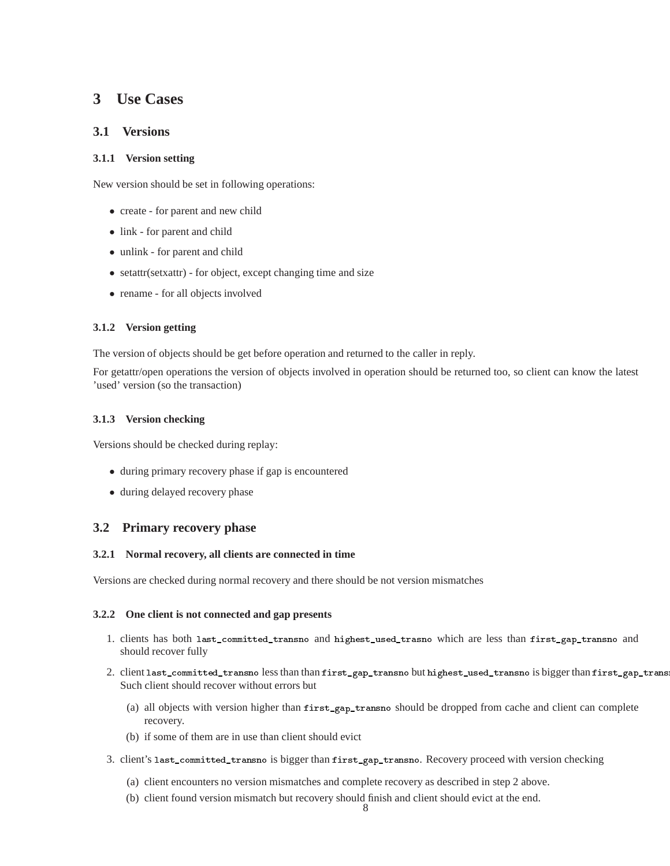# **3 Use Cases**

# **3.1 Versions**

## **3.1.1 Version setting**

New version should be set in following operations:

- create for parent and new child
- link for parent and child
- unlink for parent and child
- setattr(setxattr) for object, except changing time and size
- rename for all objects involved

## **3.1.2 Version getting**

The version of objects should be get before operation and returned to the caller in reply.

For getattr/open operations the version of objects involved in operation should be returned too, so client can know the latest 'used' version (so the transaction)

## **3.1.3 Version checking**

Versions should be checked during replay:

- during primary recovery phase if gap is encountered
- during delayed recovery phase

# **3.2 Primary recovery phase**

#### **3.2.1 Normal recovery, all clients are connected in time**

Versions are checked during normal recovery and there should be not version mismatches

#### **3.2.2 One client is not connected and gap presents**

- 1. clients has both last\_committed\_transno and highest\_used\_trasno which are less than first\_gap\_transno and should recover fully
- 2. client last\_committed\_transno less than than first\_gap\_transno but highest\_used\_transno is bigger than first\_gap\_transno Such client should recover without errors but
	- (a) all objects with version higher than first\_gap\_transno should be dropped from cache and client can complete recovery.
	- (b) if some of them are in use than client should evict
- 3. client's last\_committed\_transno is bigger than first\_gap\_transno. Recovery proceed with version checking
	- (a) client encounters no version mismatches and complete recovery as described in step 2 above.
	- (b) client found version mismatch but recovery should finish and client should evict at the end.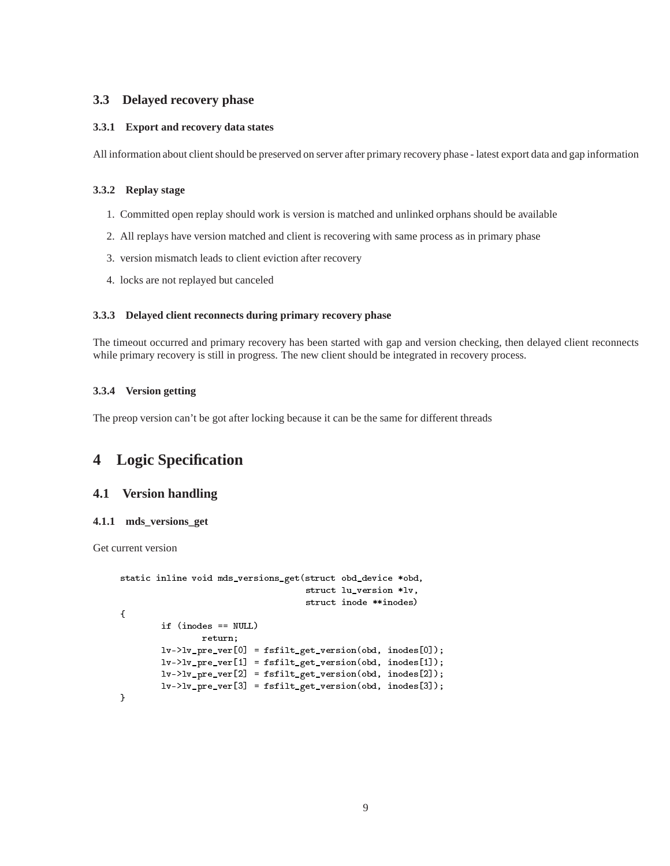# **3.3 Delayed recovery phase**

### **3.3.1 Export and recovery data states**

All information about client should be preserved on server after primary recovery phase - latest export data and gap information

## **3.3.2 Replay stage**

- 1. Committed open replay should work is version is matched and unlinked orphans should be available
- 2. All replays have version matched and client is recovering with same process as in primary phase
- 3. version mismatch leads to client eviction after recovery
- 4. locks are not replayed but canceled

#### **3.3.3 Delayed client reconnects during primary recovery phase**

The timeout occurred and primary recovery has been started with gap and version checking, then delayed client reconnects while primary recovery is still in progress. The new client should be integrated in recovery process.

## **3.3.4 Version getting**

The preop version can't be got after locking because it can be the same for different threads

# **4 Logic Specification**

## **4.1 Version handling**

#### **4.1.1 mds\_versions\_get**

Get current version

```
static inline void mds_versions_get(struct obd_device *obd,
                                    struct lu_version *lv,
                                    struct inode **inodes)
{
        if (inodes == NULL)
                return;
        lv->lv_pre_ver[0] = fsfilt_get_version(obd, inodes[0]);
        lv->lv_pre_ver[1] = fsfilt_get_version(obd, inodes[1]);
        lv->lv_pre_ver[2] = fsfilt_get_version(obd, inodes[2]);
        lv->lv_pre_ver[3] = fsfilt_get_version(obd, inodes[3]);
}
```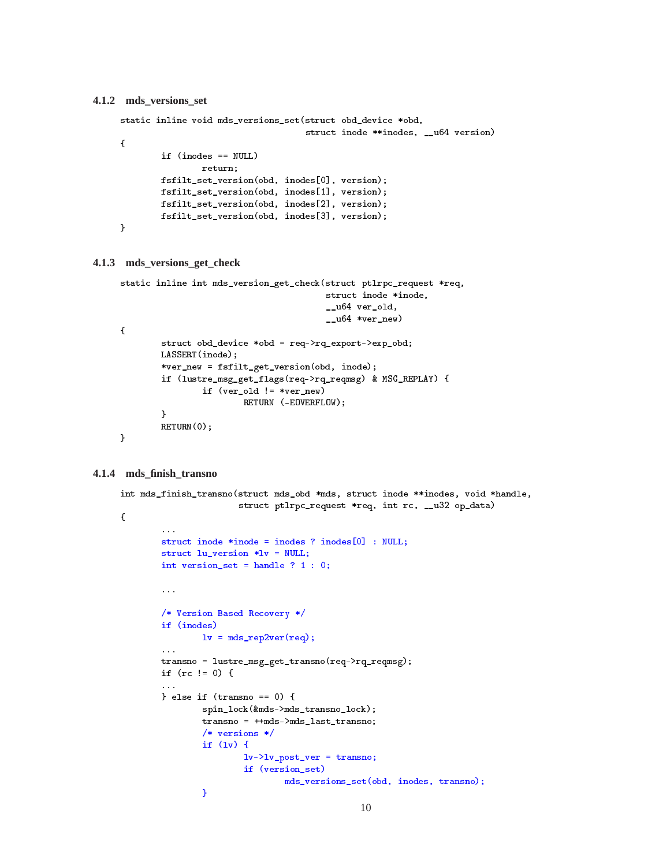#### **4.1.2 mds\_versions\_set**

```
static inline void mds_versions_set(struct obd_device *obd,
                                    struct inode **inodes, __u64 version)
{
        if (inodes == NULL)
                return;
       fsfilt_set_version(obd, inodes[0], version);
       fsfilt_set_version(obd, inodes[1], version);
       fsfilt_set_version(obd, inodes[2], version);
       fsfilt_set_version(obd, inodes[3], version);
}
```
#### **4.1.3 mds\_versions\_get\_check**

```
static inline int mds_version_get_check(struct ptlrpc_request *req,
                                          struct inode *inode,
                                          __u64 ver_old,
                                          _{--}u64 *ver_new)
{
        struct obd_device *obd = req->rq_export->exp_obd;
        LASSERT(inode);
        *ver_new = fsfilt_get_version(obd, inode);
        if (lustre_msg_get_flags(req->rq_reqmsg) & MSG_REPLAY) {
                if (ver_old != *ver_new)
                        RETURN (-EOVERFLOW);
        \mathbf{L}}
        RETURN(0);
}
```
#### **4.1.4 mds\_finish\_transno**

```
int mds_finish_transno(struct mds_obd *mds, struct inode **inodes, void *handle,
                       struct ptlrpc_request *req, int rc, __u32 op_data)
{
        \ddotscstruct inode *inode = inodes ? inodes[0] : NULL;
        struct lu_version *lv = NULL;
        int version_set = handle ? 1 : 0;...
        /* Version Based Recovery */
        if (inodes)
                lv = mds_rep2ver(req);...
        transno = lustre_msg_get_transno(req->rq_reqmsg);
        if (rc != 0) {
        \ddotsc} else if (transno == 0) {
                spin_lock(&mds->mds_transno_lock);
                transno = ++mds->mds_last_transno;
                /* versions */
                if (\ln) {
                        lv->lv_post_ver = transno;
                        if (version_set)
                                mds_versions_set(obd, inodes, transno);
                }
```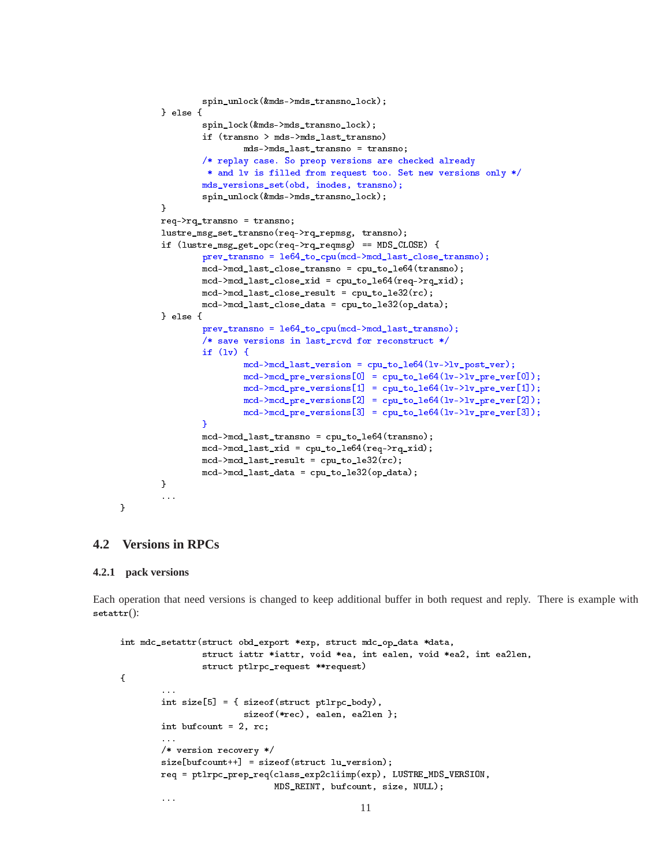```
spin_unlock(&mds->mds_transno_lock);
} else {
          spin_lock(&mds->mds_transno_lock);
          if (transno > mds->mds_last_transno)
                    mds->mds_last_transno = transno;
          /* replay case. So preop versions are checked already
           * and lv is filled from request too. Set new versions only */
          mds_versions_set(obd, inodes, transno);
          spin_unlock(&mds->mds_transno_lock);
\mathcal{F}}
req->rq_transno = transno;
lustre_msg_set_transno(req->rq_repmsg, transno);
if (lustre_msg_get_opc(req->rq_reqmsg) == MDS_CLOSE) {
          prev_transno = le64_to_cpu(mcd->mcd_last_close_transno);
          mcd->mcd_last_close_transno = cpu_to_le64(transno);
          mcd->mcd_last_close_xid = cpu_to_le64(req->rq_xid);
          mcd->mcd_last_close_result = cpu_to_le32(rc);
          mcd->mcd_last_close_data = cpu_to_le32(op_data);
} else {
          prev_transno = le64_to_cpu(mcd->mcd_last_transno);
          /* save versions in last_rcvd for reconstruct */
          if (lv) {
                    mcd->mcd_last_version = cpu_to_le64(lv->lv_post_ver);
                    \text{mcd}\text{-}\text{}\text{mcd}\text{-}\text{}\text{pred}\text{-}\text{}\text{y} = cpu_to_le64(lv->lv_pre_ver[0]);
                    \text{mcd}\text{-}\text{}\text{mcd}\text{-}\text{}\text{pred}\text{-}\text{}\text{y} = cpu_to_le64(lv->lv_pre_ver[1]);
                    \text{mcd}\text{-}\text{mod}\text{-}\text{pre\_versions}[2] = \text{cpu\_to}\text{le64(lv}\text{-}\text{y}\text{-}\text{pre}\text{-}\text{ver}[2]);
                    \text{mcd}\text{-}\text{}\text{mcd}\text{-}\text{pre\_versions}[3] = \text{cpu\_to}\text{le64(lv}\text{-}\text{}\text{-}\text{lv}\text{-}\text{pre\_ver}[3]);
          Y
          }
          mcd->mcd_last_transno = cpu_to_le64(transno);
          \text{mcd-}\text{mod\_last\_xid} = \text{cpu_to\_le64}(\text{req-} \geq \text{rq\_xid});mcd->mcd_last_result = cpu_to_le32(rc);
          mcd->mcd_last_data = cpu_to_le32(op_data);
}
...
```
## **4.2 Versions in RPCs**

#### **4.2.1 pack versions**

}

Each operation that need versions is changed to keep additional buffer in both request and reply. There is example with setattr():

```
int mdc_setattr(struct obd_export *exp, struct mdc_op_data *data,
                struct iattr *iattr, void *ea, int ealen, void *ea2, int ea2len,
                struct ptlrpc_request **request)
{
        int size[5] = { sizeof(struct ptlrpc_body),
                        sizeof(*rec), ealen, ea2len };
        int bufcount = 2, rc;
        /* version recovery */
        size[bufcount++] = sizeof(struct lu_version);
        req = ptlrpc_prep_req(class_exp2cliimp(exp), LUSTRE_MDS_VERSION,
                              MDS_REINT, bufcount, size, NULL);
        ...
```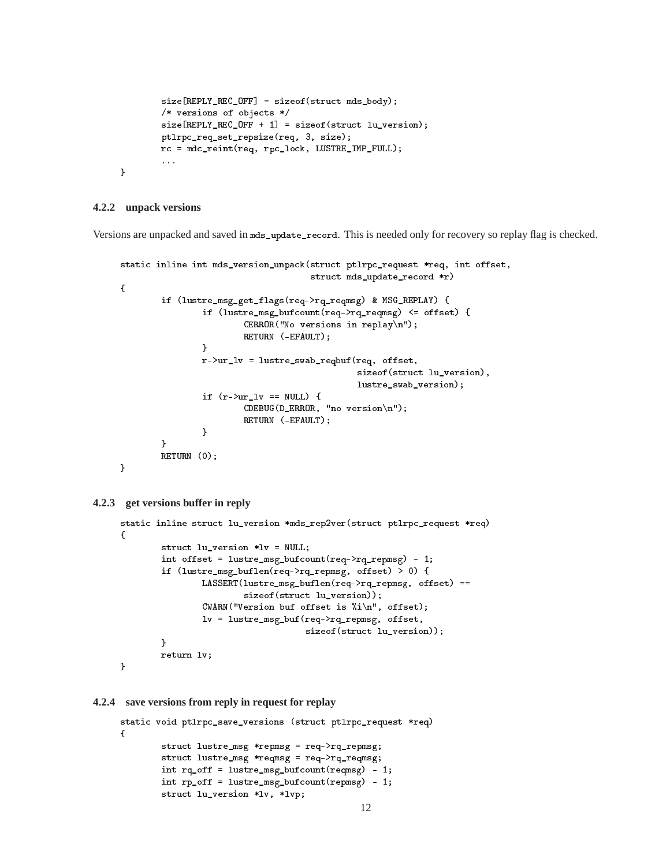```
size[REPLY_REC_OFF] = sizeof(struct mds_body);
        /* versions of objects */
        size[REPLY_REC_OFF + 1] = sizeof(struct lu_version);
        ptlrpc_req_set_repsize(req, 3, size);
        rc = mdc_reint(req, rpc_lock, LUSTRE_IMP_FULL);
        ...
}
```
#### **4.2.2 unpack versions**

Versions are unpacked and saved in mds\_update\_record. This is needed only for recovery so replay flag is checked.

```
static inline int mds_version_unpack(struct ptlrpc_request *req, int offset,
                                       struct mds_update_record *r)
{
        if (lustre_msg_get_flags(req->rq_reqmsg) & MSG_REPLAY) {
                if (lustre_msg_bufcount(req->rq_reqmsg) <= offset) {
                         CERROR("No versions in replay\n");
                         RETURN (-EFAULT);
                <sup>}</sup>
                 . .
                r->ur_lv = lustre_swab_reqbuf(req, offset,
                                                sizeof(struct lu_version),
                                                lustre_swab_version);
                if (r-\nu r_l v == NULL) {
                         CDEBUG(D_ERROR, "no version\n");
                         RETURN (-EFAULT);
                }
        ŀ
        }
        RETURN (0);
```

```
4.2.3 get versions buffer in reply
```
}

```
static inline struct lu_version *mds_rep2ver(struct ptlrpc_request *req)
\mathbf{f}\simstruct lu_version *lv = NULL;
        int offset = lustre_msg_bufcount(req->rq_repmsg) - 1;
        if (lustre_msg_buflen(req->rq_repmsg, offset) > 0) {
                LASSERT(lustre_msg_buflen(req->rq_repmsg, offset) ==
                        sizeof(struct lu_version));
                CWARN("Version buf offset is %i\n", offset);
                lv = lustre_msg_buf(req->rq_repmsg, offset,
                                     sizeof(struct lu_version));
        }
        return lv;
}
```
#### **4.2.4 save versions from reply in request for replay**

```
static void ptlrpc_save_versions (struct ptlrpc_request *req)
{
       struct lustre_msg *repmsg = req->rq_repmsg;
       struct lustre_msg *reqmsg = req->rq_reqmsg;
       int rq_off = lustre_msg_bufcount(reqmsg) - 1;
       int rp_off = lustre_msg_bufcount(repmsg) - 1;
       struct lu_version *lv, *lvp;
```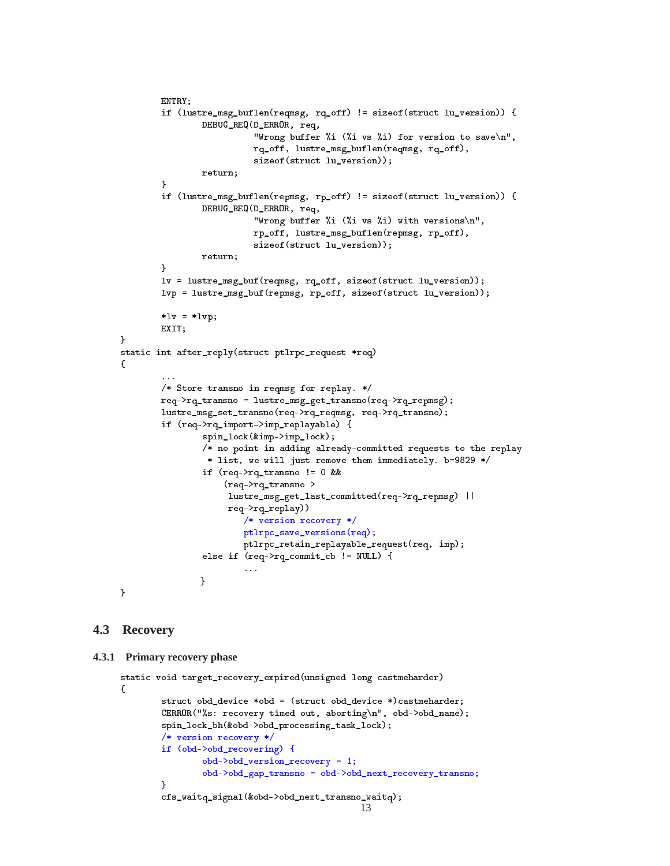```
ENTRY;
        if (lustre_msg_buflen(reqmsg, rq_off) != sizeof(struct lu_version)) {
                DEBUG_REQ(D_ERROR, req,
                           "Wrong buffer %i (%i vs %i) for version to save\n",
                           rq_off, lustre_msg_buflen(reqmsg, rq_off),
                           sizeof(struct lu_version));
                return;
        <sup>}</sup>
        }
        if (lustre_msg_buflen(repmsg, rp_off) != sizeof(struct lu_version)) {
                DEBUG_REQ(D_ERROR, req,
                           "Wrong buffer %i (%i vs %i) with versions\n",
                           rp_off, lustre_msg_buflen(repmsg, rp_off),
                           sizeof(struct lu_version));
                return;
        \mathcal{F}}
        lv = lustre_msg_buf(reqmsg, rq_off, sizeof(struct lu_version));
        lvp = lustre_msg_buf(repmsg, rp_off, sizeof(struct lu_version));
        *lv = *lvp;EXIT;
static int after_reply(struct ptlrpc_request *req)
ſ.
        ...
        /* Store transno in reqmsg for replay. */
        req->rq_transno = lustre_msg_get_transno(req->rq_repmsg);
        lustre_msg_set_transno(req->rq_reqmsg, req->rq_transno);
        if (req->rq_import->imp_replayable) {
                spin_lock(&imp->imp_lock);
                /* no point in adding already-committed requests to the replay
                 * list, we will just remove them immediately. b=9829 */
                if (req->rq_transno != 0 &&
                     (req->rq_transno >
                     lustre_msg_get_last_committed(req->rq_repmsg) ||
                     req->rq_replay))
                         /* version recovery */
                         ptlrpc_save_versions(req);
                         ptlrpc_retain_replayable_request(req, imp);
                else if (req->rq_commit_cb != NULL) {
                         \sim \sim \simł
                }
}
```
## **4.3 Recovery**

}

 ${\bf \cdot \cdot \cdot}$ 

```
4.3.1 Primary recovery phase
```

```
static void target_recovery_expired(unsigned long castmeharder)
{
       struct obd_device *obd = (struct obd_device *)castmeharder;
       CERROR("%s: recovery timed out, aborting\n", obd->obd_name);
       spin_lock_bh(&obd->obd_processing_task_lock);
       /* version recovery */
       if (obd->obd_recovering) {
                obd->obd_version_recovery = 1;
                obd->obd_gap_transno = obd->obd_next_recovery_transno;
        }
       cfs_waitq_signal(&obd->obd_next_transno_waitq);
                                               13
```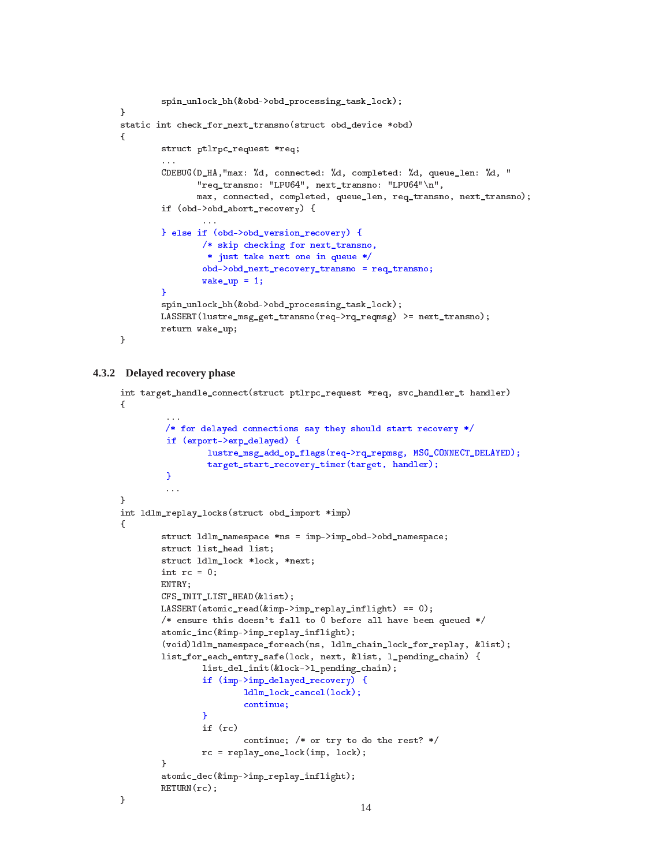```
spin_unlock_bh(&obd->obd_processing_task_lock);
Y.
}
static int check_for_next_transno(struct obd_device *obd)
{
        struct ptlrpc_request *req;
        CDEBUG(D_HA,"max: %d, connected: %d, completed: %d, queue_len: %d, "
               "req_transno: "LPU64", next_transno: "LPU64"\n",
               max, connected, completed, queue_len, req_transno, next_transno);
        if (obd->obd_abort_recovery) {
                ...
        } else if (obd->obd_version_recovery) {
                /* skip checking for next_transno,
                 * just take next one in queue */
                obd->obd_next_recovery_transno = req_transno;
                wake_up = 1;¥
        -
        spin_unlock_bh(&obd->obd_processing_task_lock);
        LASSERT(lustre_msg_get_transno(req->rq_reqmsg) >= next_transno);
        return wake_up;
```
### **4.3.2 Delayed recovery phase**

}

```
int target_handle_connect(struct ptlrpc_request *req, svc_handler_t handler)
ſ
\sim/* for delayed connections say they should start recovery */
         if (export->exp_delayed) {
                 lustre_msg_add_op_flags(req->rq_repmsg, MSG_CONNECT_DELAYED);
                 target_start_recovery_timer(target, handler);
         }
         ...
\mathcal{F}. .
int ldlm_replay_locks(struct obd_import *imp)
\simstruct ldlm_namespace *ns = imp->imp_obd->obd_namespace;
        struct list_head list;
        struct ldlm_lock *lock, *next;
        int rc = 0;
        ENTRY;
        CFS_INIT_LIST_HEAD(&list);
        LASSERT(atomic_read(&imp->imp_replay_inflight) == 0);
        /* ensure this doesn't fall to 0 before all have been queued */atomic_inc(&imp->imp_replay_inflight);
        (void)ldlm_namespace_foreach(ns, ldlm_chain_lock_for_replay, &list);
        list_for_each_entry_safe(lock, next, &list, l_pending_chain) {
                list_del_init(&lock->l_pending_chain);
                if (imp->imp_delayed_recovery) {
                        ldlm_lock_cancel(lock);
                        continue;
                ¥
                }
                if (rc)
                        continue; /* or try to do the rest? */
                rc = replay_one_lock(imp, lock);
        }
        atomic_dec(&imp->imp_replay_inflight);
        RETURN(rc);
}
```

```
14
```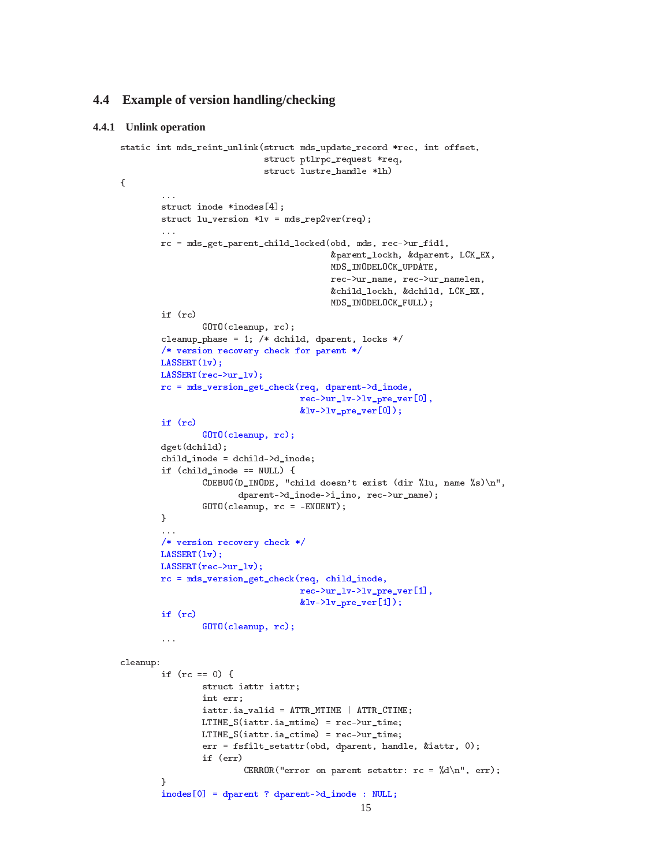## **4.4 Example of version handling/checking**

#### **4.4.1 Unlink operation**

 $\sim$ 

```
static int mds_reint_unlink(struct mds_update_record *rec, int offset,
                            struct ptlrpc_request *req,
                            struct lustre_handle *lh)
        ...
        struct inode *inodes[4];
        struct lu\_version *lv = mds\_rep2ver(req);\mathbf{A}rc = mds_get_parent_child_locked(obd, mds, rec->ur_fid1,
                                          &parent_lockh, &dparent, LCK_EX,
                                          MDS_INODELOCK_UPDATE,
                                          rec->ur_name, rec->ur_namelen,
                                          &child_lockh, &dchild, LCK_EX,
                                          MDS_INODELOCK_FULL);
        if (rc)
                GOTO(cleanup, rc);
        cleanup_phase = 1; /* dchild, dparent, locks */
        /* version recovery check for parent */
       LASSERT(lv);
       LASSERT(rec->ur_lv);
       rc = mds_version_get_check(req, dparent->d_inode,
                                    rec->ur_lv->lv_pre_ver[0],
                                    &lv->lv\_pre\_ver[0]);
        if (rc)
                GOTO(cleanup, rc);
        dget(dchild);
        child_inode = dchild->d_inode;
        if (child_inode == NULL) {
                CDEBUG(D_INODE, "child doesn't exist (dir %lu, name %s)\n",
                       dparent->d_inode->i_ino, rec->ur_name);
                GOTO(cleanup, rc = -ENOENT);
        }
        ...
        /* version recovery check */
       LASSERT(lv);
       LASSERT(rec->ur_lv);
       rc = mds_version_get_check(req, child_inode,
                                    rec->ur_lv->lv_pre_ver[1],
                                    klv-\n|v_prc\_ver[1]);
        if (rc)
                GOTO(cleanup, rc);
        \ldotscleanup:
        if (rc == 0) {
                struct iattr iattr;
                int err;
                iattr.ia_valid = ATTR_MTIME | ATTR_CTIME;
                LTIME_S(iattr.ia_mtime) = rec->ur_time;
                LTIME_S(iattr.ia_ctime) = rec->ur_time;
                err = fsfilt_setattr(obd, dparent, handle, &iattr, 0);
                if (err)
                        CERROR("error on parent setattr: rc = \sqrt{k}d\n", err);
        P.
        }
        inodes[0] = dparent ? dparent->d_inode : NULL;
                                                15
```